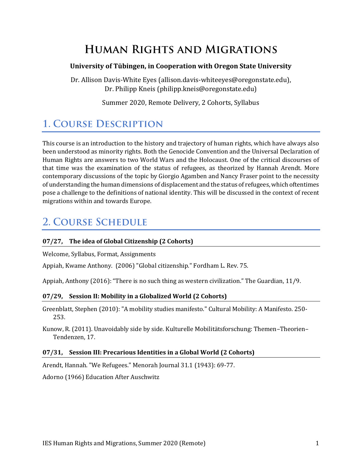# **HUMAN RIGHTS AND MIGRATIONS**

### **University of Tübingen, in Cooperation with Oregon State University**

Dr. Allison Davis-White Eyes (allison.davis-whiteeyes@oregonstate.edu), Dr. Philipp Kneis (philipp.kneis@oregonstate.edu)

Summer 2020, Remote Delivery, 2 Cohorts, Syllabus

# **1. COURSE DESCRIPTION**

This course is an introduction to the history and trajectory of human rights, which have always also been understood as minority rights. Both the Genocide Convention and the Universal Declaration of Human Rights are answers to two World Wars and the Holocaust. One of the critical discourses of that time was the examination of the status of refugees, as theorized by Hannah Arendt. More contemporary discussions of the topic by Giorgio Agamben and Nancy Fraser point to the necessity of understanding the human dimensions of displacement and the status of refugees, which oftentimes pose a challenge to the definitions of national identity. This will be discussed in the context of recent migrations within and towards Europe.

## **2. COURSE SCHEDULE**

### **07/27, The idea of Global Citizenship (2 Cohorts)**

Welcome, Syllabus, Format, Assignments

Appiah, Kwame Anthony. (2006) "Global citizenship." Fordham L. Rev. 75.

Appiah, Anthony (2016): "There is no such thing as western civilization." The Guardian, 11/9.

#### **07/29, Session II: Mobility in a Globalized World (2 Cohorts)**

Greenblatt, Stephen (2010): "A mobility studies manifesto." Cultural Mobility: A Manifesto. 250- 253.

Kunow, R. (2011). Unavoidably side by side. Kulturelle Mobilitätsforschung: Themen–Theorien– Tendenzen, 17.

#### **07/31, Session III: Precarious Identities in a Global World (2 Cohorts)**

Arendt, Hannah. "We Refugees." Menorah Journal 31.1 (1943): 69-77.

Adorno (1966) Education After Auschwitz